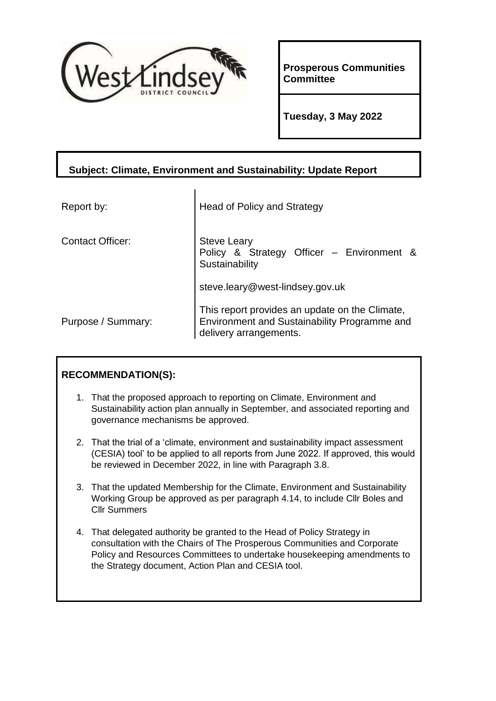

**Prosperous Communities Committee**

**Tuesday, 3 May 2022**

## **Subject: Climate, Environment and Sustainability: Update Report**

| Report by:              | <b>Head of Policy and Strategy</b>                                                                                       |
|-------------------------|--------------------------------------------------------------------------------------------------------------------------|
| <b>Contact Officer:</b> | <b>Steve Leary</b><br>Policy & Strategy Officer - Environment &<br>Sustainability                                        |
|                         | steve.leary@west-lindsey.gov.uk                                                                                          |
| Purpose / Summary:      | This report provides an update on the Climate,<br>Environment and Sustainability Programme and<br>delivery arrangements. |

# **RECOMMENDATION(S):**

- 1. That the proposed approach to reporting on Climate, Environment and Sustainability action plan annually in September, and associated reporting and governance mechanisms be approved.
- 2. That the trial of a 'climate, environment and sustainability impact assessment (CESIA) tool' to be applied to all reports from June 2022. If approved, this would be reviewed in December 2022, in line with Paragraph 3.8.
- 3. That the updated Membership for the Climate, Environment and Sustainability Working Group be approved as per paragraph 4.14, to include Cllr Boles and Cllr Summers
- 4. That delegated authority be granted to the Head of Policy Strategy in consultation with the Chairs of The Prosperous Communities and Corporate Policy and Resources Committees to undertake housekeeping amendments to the Strategy document, Action Plan and CESIA tool.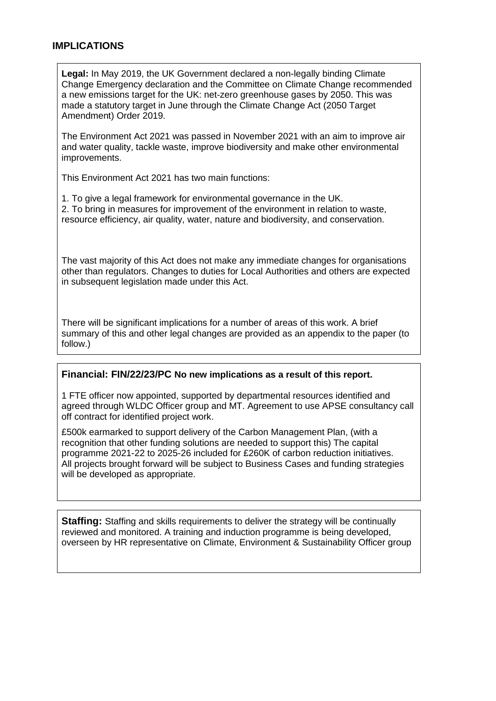#### **IMPLICATIONS**

**Legal:** In May 2019, the UK Government declared a non-legally binding Climate Change Emergency declaration and the Committee on Climate Change recommended a new emissions target for the UK: net-zero greenhouse gases by 2050. This was made a statutory target in June through the Climate Change Act (2050 Target Amendment) Order 2019.

The Environment Act 2021 was passed in November 2021 with an aim to improve air and water quality, tackle waste, improve biodiversity and make other environmental improvements.

This Environment Act 2021 has two main functions:

1. To give a legal framework for environmental governance in the UK. 2. To bring in measures for improvement of the environment in relation to waste, resource efficiency, air quality, water, nature and biodiversity, and conservation.

The vast majority of this Act does not make any immediate changes for organisations other than regulators. Changes to duties for Local Authorities and others are expected in subsequent legislation made under this Act.

There will be significant implications for a number of areas of this work. A brief summary of this and other legal changes are provided as an appendix to the paper (to follow.)

#### **Financial: FIN/22/23/PC No new implications as a result of this report.**

1 FTE officer now appointed, supported by departmental resources identified and agreed through WLDC Officer group and MT. Agreement to use APSE consultancy call off contract for identified project work.

£500k earmarked to support delivery of the Carbon Management Plan, (with a recognition that other funding solutions are needed to support this) The capital programme 2021-22 to 2025-26 included for £260K of carbon reduction initiatives. All projects brought forward will be subject to Business Cases and funding strategies will be developed as appropriate.

**Staffing:** Staffing and skills requirements to deliver the strategy will be continually reviewed and monitored. A training and induction programme is being developed, overseen by HR representative on Climate, Environment & Sustainability Officer group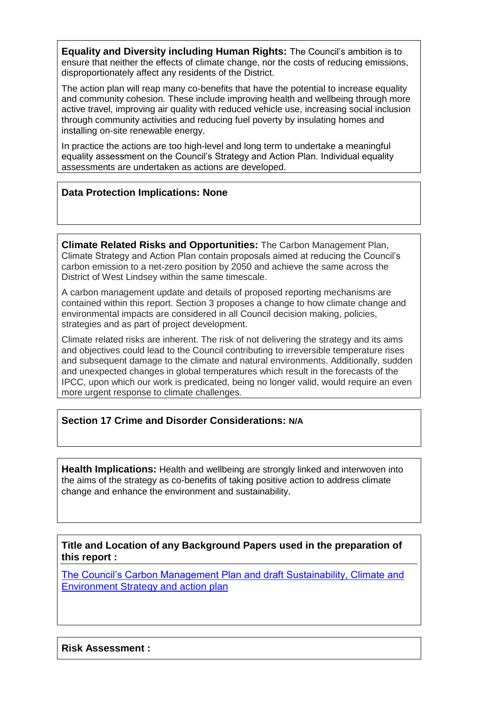**Equality and Diversity including Human Rights:** The Council's ambition is to ensure that neither the effects of climate change, nor the costs of reducing emissions, disproportionately affect any residents of the District.

The action plan will reap many co-benefits that have the potential to increase equality and community cohesion. These include improving health and wellbeing through more active travel, improving air quality with reduced vehicle use, increasing social inclusion through community activities and reducing fuel poverty by insulating homes and installing on-site renewable energy.

In practice the actions are too high-level and long term to undertake a meaningful equality assessment on the Council's Strategy and Action Plan. Individual equality assessments are undertaken as actions are developed.

### **Data Protection Implications: None**

**Climate Related Risks and Opportunities:** The Carbon Management Plan, Climate Strategy and Action Plan contain proposals aimed at reducing the Council's carbon emission to a net-zero position by 2050 and achieve the same across the District of West Lindsey within the same timescale.

A carbon management update and details of proposed reporting mechanisms are contained within this report. Section 3 proposes a change to how climate change and environmental impacts are considered in all Council decision making, policies, strategies and as part of project development.

Climate related risks are inherent. The risk of not delivering the strategy and its aims and objectives could lead to the Council contributing to irreversible temperature rises and subsequent damage to the climate and natural environments. Additionally, sudden and unexpected changes in global temperatures which result in the forecasts of the IPCC, upon which our work is predicated, being no longer valid, would require an even more urgent response to climate challenges.

#### **Section 17 Crime and Disorder Considerations: N/A**

**Health Implications:** Health and wellbeing are strongly linked and interwoven into the aims of the strategy as co-benefits of taking positive action to address climate change and enhance the environment and sustainability.

**Title and Location of any Background Papers used in the preparation of this report :**

[The Council's Carbon Management Plan and draft Sustainability, Climate and](https://democracy.west-lindsey.gov.uk/documents/s24986/The%20Councils%20Carbon%20Management%20Plan%20and%20draft%20Sustainability%20Climate%20and%20Environment%20Strategy%20and%20.pdf)  [Environment Strategy and action plan](https://democracy.west-lindsey.gov.uk/documents/s24986/The%20Councils%20Carbon%20Management%20Plan%20and%20draft%20Sustainability%20Climate%20and%20Environment%20Strategy%20and%20.pdf)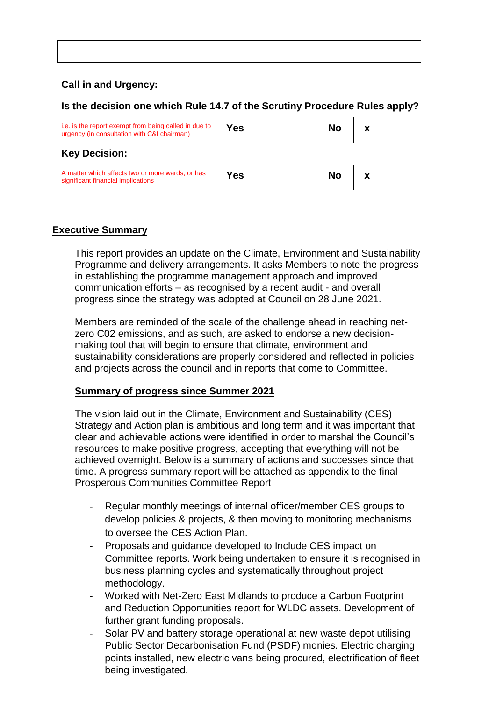### **Call in and Urgency:**

#### **Is the decision one which Rule 14.7 of the Scrutiny Procedure Rules apply?**



## **Executive Summary**

This report provides an update on the Climate, Environment and Sustainability Programme and delivery arrangements. It asks Members to note the progress in establishing the programme management approach and improved communication efforts – as recognised by a recent audit - and overall progress since the strategy was adopted at Council on 28 June 2021.

Members are reminded of the scale of the challenge ahead in reaching netzero C02 emissions, and as such, are asked to endorse a new decisionmaking tool that will begin to ensure that climate, environment and sustainability considerations are properly considered and reflected in policies and projects across the council and in reports that come to Committee.

#### **Summary of progress since Summer 2021**

The vision laid out in the Climate, Environment and Sustainability (CES) Strategy and Action plan is ambitious and long term and it was important that clear and achievable actions were identified in order to marshal the Council's resources to make positive progress, accepting that everything will not be achieved overnight. Below is a summary of actions and successes since that time. A progress summary report will be attached as appendix to the final Prosperous Communities Committee Report

- Regular monthly meetings of internal officer/member CES groups to develop policies & projects, & then moving to monitoring mechanisms to oversee the CES Action Plan.
- Proposals and guidance developed to Include CES impact on Committee reports. Work being undertaken to ensure it is recognised in business planning cycles and systematically throughout project methodology.
- Worked with Net-Zero East Midlands to produce a Carbon Footprint and Reduction Opportunities report for WLDC assets. Development of further grant funding proposals.
- Solar PV and battery storage operational at new waste depot utilising Public Sector Decarbonisation Fund (PSDF) monies. Electric charging points installed, new electric vans being procured, electrification of fleet being investigated.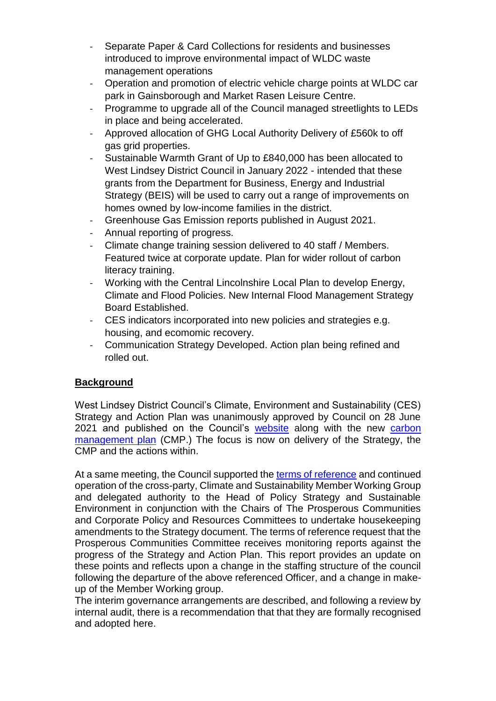- Separate Paper & Card Collections for residents and businesses introduced to improve environmental impact of WLDC waste management operations
- Operation and promotion of electric vehicle charge points at WLDC car park in Gainsborough and Market Rasen Leisure Centre.
- Programme to upgrade all of the Council managed streetlights to LEDs in place and being accelerated.
- Approved allocation of GHG Local Authority Delivery of £560k to off gas grid properties.
- Sustainable Warmth Grant of Up to £840,000 has been allocated to West Lindsey District Council in January 2022 - intended that these grants from the Department for Business, Energy and Industrial Strategy (BEIS) will be used to carry out a range of improvements on homes owned by low-income families in the district.
- Greenhouse Gas Emission reports published in August 2021.
- Annual reporting of progress.
- Climate change training session delivered to 40 staff / Members. Featured twice at corporate update. Plan for wider rollout of carbon literacy training.
- Working with the Central Lincolnshire Local Plan to develop Energy, Climate and Flood Policies. New Internal Flood Management Strategy Board Established.
- CES indicators incorporated into new policies and strategies e.g. housing, and ecomomic recovery.
- Communication Strategy Developed. Action plan being refined and rolled out.

# **Background**

West Lindsey District Council's Climate, Environment and Sustainability (CES) Strategy and Action Plan was unanimously approved by Council on 28 June 2021 and published on the Council's [website](https://www.west-lindsey.gov.uk/my-services/my-community/sustainability-climate-change-and-environment/sustainability-climate-change-and-environment-strategy/) along with the new carbon [management plan](https://www.west-lindsey.gov.uk/my-services/my-community/sustainability-climate-change-and-environment/carbon-management/) (CMP.) The focus is now on delivery of the Strategy, the CMP and the actions within.

At a same meeting, the Council supported the [terms of reference](file:///C:/Users/sl20130/IT%20Shared%20Services/West%20Lindsey%20Policy%20&%20Strategy%20-%20General/Sustainable%20Environment/Audit/Member%20Working%20Group/Appendix%202%20Revised%20Terms%20of%20Reference%20of%20the%20Councils%20Environment%20and%20Sustainability%20Working%20Group.pdf) and continued operation of the cross-party, Climate and Sustainability Member Working Group and delegated authority to the Head of Policy Strategy and Sustainable Environment in conjunction with the Chairs of The Prosperous Communities and Corporate Policy and Resources Committees to undertake housekeeping amendments to the Strategy document. The terms of reference request that the Prosperous Communities Committee receives monitoring reports against the progress of the Strategy and Action Plan. This report provides an update on these points and reflects upon a change in the staffing structure of the council following the departure of the above referenced Officer, and a change in makeup of the Member Working group.

The interim governance arrangements are described, and following a review by internal audit, there is a recommendation that that they are formally recognised and adopted here.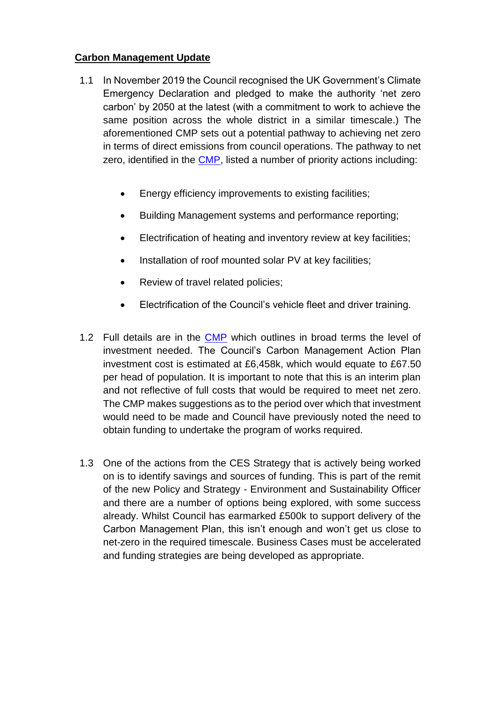## **Carbon Management Update**

- 1.1 In November 2019 the Council recognised the UK Government's Climate Emergency Declaration and pledged to make the authority 'net zero carbon' by 2050 at the latest (with a commitment to work to achieve the same position across the whole district in a similar timescale.) The aforementioned CMP sets out a potential pathway to achieving net zero in terms of direct emissions from council operations. The pathway to net zero, identified in the [CMP,](file:///C:/Users/sl20130/IT%20Shared%20Services/West%20Lindsey%20Policy%20&%20Strategy%20-%20General/Sustainable%20Environment/Council%2028%20June%2021/Council%2028%20June%2021/Appendix%201%20The%20Councils%20Carbon%20Management%20Plan.pdf) listed a number of priority actions including:
	- Energy efficiency improvements to existing facilities;
	- Building Management systems and performance reporting;
	- Electrification of heating and inventory review at key facilities;
	- Installation of roof mounted solar PV at key facilities:
	- Review of travel related policies;
	- Electrification of the Council's vehicle fleet and driver training.
- 1.2 Full details are in the **CMP** which outlines in broad terms the level of investment needed. The Council's Carbon Management Action Plan investment cost is estimated at £6,458k, which would equate to £67.50 per head of population. It is important to note that this is an interim plan and not reflective of full costs that would be required to meet net zero. The CMP makes suggestions as to the period over which that investment would need to be made and Council have previously noted the need to obtain funding to undertake the program of works required.
- 1.3 One of the actions from the CES Strategy that is actively being worked on is to identify savings and sources of funding. This is part of the remit of the new Policy and Strategy - Environment and Sustainability Officer and there are a number of options being explored, with some success already. Whilst Council has earmarked £500k to support delivery of the Carbon Management Plan, this isn't enough and won't get us close to net-zero in the required timescale. Business Cases must be accelerated and funding strategies are being developed as appropriate.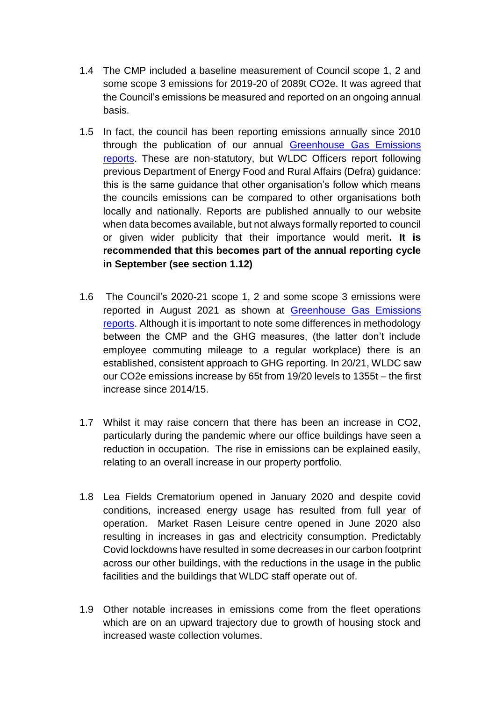- 1.4 The CMP included a baseline measurement of Council scope 1, 2 and some scope 3 emissions for 2019-20 of 2089t CO2e. It was agreed that the Council's emissions be measured and reported on an ongoing annual basis.
- 1.5 In fact, the council has been reporting emissions annually since 2010 through the publication of our annual [Greenhouse Gas Emissions](https://www.west-lindsey.gov.uk/my-services/my-community/sustainability-climate-change-and-environment/greenhouse-gas-emissions/)  [reports.](https://www.west-lindsey.gov.uk/my-services/my-community/sustainability-climate-change-and-environment/greenhouse-gas-emissions/) These are non-statutory, but WLDC Officers report following previous Department of Energy Food and Rural Affairs (Defra) guidance: this is the same guidance that other organisation's follow which means the councils emissions can be compared to other organisations both locally and nationally. Reports are published annually to our website when data becomes available, but not always formally reported to council or given wider publicity that their importance would merit**. It is recommended that this becomes part of the annual reporting cycle in September (see section 1.12)**
- 1.6 The Council's 2020-21 scope 1, 2 and some scope 3 emissions were reported in August 2021 as shown at [Greenhouse Gas Emissions](https://www.west-lindsey.gov.uk/my-services/my-community/sustainability-climate-change-and-environment/greenhouse-gas-emissions/)  [reports.](https://www.west-lindsey.gov.uk/my-services/my-community/sustainability-climate-change-and-environment/greenhouse-gas-emissions/) Although it is important to note some differences in methodology between the CMP and the GHG measures, (the latter don't include employee commuting mileage to a regular workplace) there is an established, consistent approach to GHG reporting. In 20/21, WLDC saw our CO2e emissions increase by 65t from 19/20 levels to 1355t – the first increase since 2014/15.
- 1.7 Whilst it may raise concern that there has been an increase in CO2, particularly during the pandemic where our office buildings have seen a reduction in occupation. The rise in emissions can be explained easily, relating to an overall increase in our property portfolio.
- 1.8 Lea Fields Crematorium opened in January 2020 and despite covid conditions, increased energy usage has resulted from full year of operation. Market Rasen Leisure centre opened in June 2020 also resulting in increases in gas and electricity consumption. Predictably Covid lockdowns have resulted in some decreases in our carbon footprint across our other buildings, with the reductions in the usage in the public facilities and the buildings that WLDC staff operate out of.
- 1.9 Other notable increases in emissions come from the fleet operations which are on an upward trajectory due to growth of housing stock and increased waste collection volumes.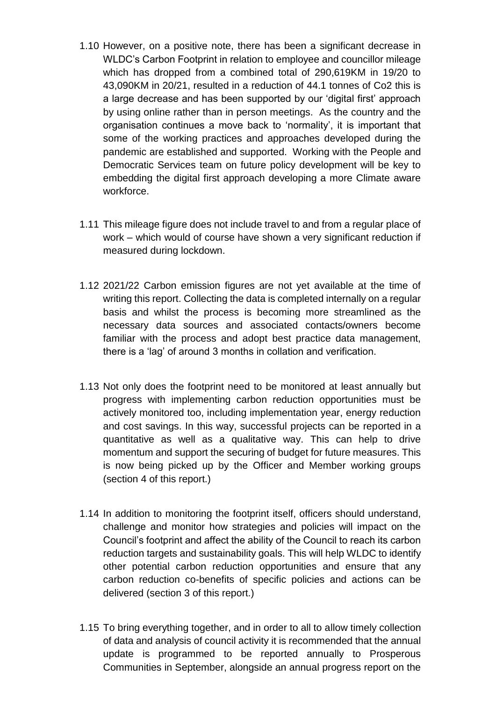- 1.10 However, on a positive note, there has been a significant decrease in WLDC's Carbon Footprint in relation to employee and councillor mileage which has dropped from a combined total of 290,619KM in 19/20 to 43,090KM in 20/21, resulted in a reduction of 44.1 tonnes of Co2 this is a large decrease and has been supported by our 'digital first' approach by using online rather than in person meetings. As the country and the organisation continues a move back to 'normality', it is important that some of the working practices and approaches developed during the pandemic are established and supported. Working with the People and Democratic Services team on future policy development will be key to embedding the digital first approach developing a more Climate aware workforce.
- 1.11 This mileage figure does not include travel to and from a regular place of work – which would of course have shown a very significant reduction if measured during lockdown.
- 1.12 2021/22 Carbon emission figures are not yet available at the time of writing this report. Collecting the data is completed internally on a regular basis and whilst the process is becoming more streamlined as the necessary data sources and associated contacts/owners become familiar with the process and adopt best practice data management, there is a 'lag' of around 3 months in collation and verification.
- 1.13 Not only does the footprint need to be monitored at least annually but progress with implementing carbon reduction opportunities must be actively monitored too, including implementation year, energy reduction and cost savings. In this way, successful projects can be reported in a quantitative as well as a qualitative way. This can help to drive momentum and support the securing of budget for future measures. This is now being picked up by the Officer and Member working groups (section 4 of this report.)
- 1.14 In addition to monitoring the footprint itself, officers should understand, challenge and monitor how strategies and policies will impact on the Council's footprint and affect the ability of the Council to reach its carbon reduction targets and sustainability goals. This will help WLDC to identify other potential carbon reduction opportunities and ensure that any carbon reduction co-benefits of specific policies and actions can be delivered (section 3 of this report.)
- 1.15 To bring everything together, and in order to all to allow timely collection of data and analysis of council activity it is recommended that the annual update is programmed to be reported annually to Prosperous Communities in September, alongside an annual progress report on the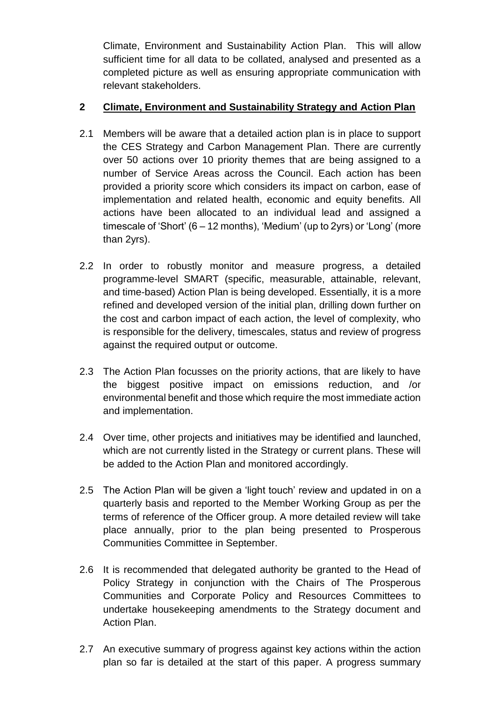Climate, Environment and Sustainability Action Plan. This will allow sufficient time for all data to be collated, analysed and presented as a completed picture as well as ensuring appropriate communication with relevant stakeholders.

## **2 Climate, Environment and Sustainability Strategy and Action Plan**

- 2.1 Members will be aware that a detailed action plan is in place to support the CES Strategy and Carbon Management Plan. There are currently over 50 actions over 10 priority themes that are being assigned to a number of Service Areas across the Council. Each action has been provided a priority score which considers its impact on carbon, ease of implementation and related health, economic and equity benefits. All actions have been allocated to an individual lead and assigned a timescale of 'Short' (6 – 12 months), 'Medium' (up to 2yrs) or 'Long' (more than 2yrs).
- 2.2 In order to robustly monitor and measure progress, a detailed programme-level SMART (specific, measurable, attainable, relevant, and time-based) Action Plan is being developed. Essentially, it is a more refined and developed version of the initial plan, drilling down further on the cost and carbon impact of each action, the level of complexity, who is responsible for the delivery, timescales, status and review of progress against the required output or outcome.
- 2.3 The Action Plan focusses on the priority actions, that are likely to have the biggest positive impact on emissions reduction, and /or environmental benefit and those which require the most immediate action and implementation.
- 2.4 Over time, other projects and initiatives may be identified and launched, which are not currently listed in the Strategy or current plans. These will be added to the Action Plan and monitored accordingly.
- 2.5 The Action Plan will be given a 'light touch' review and updated in on a quarterly basis and reported to the Member Working Group as per the terms of reference of the Officer group. A more detailed review will take place annually, prior to the plan being presented to Prosperous Communities Committee in September.
- 2.6 It is recommended that delegated authority be granted to the Head of Policy Strategy in conjunction with the Chairs of The Prosperous Communities and Corporate Policy and Resources Committees to undertake housekeeping amendments to the Strategy document and Action Plan.
- 2.7 An executive summary of progress against key actions within the action plan so far is detailed at the start of this paper. A progress summary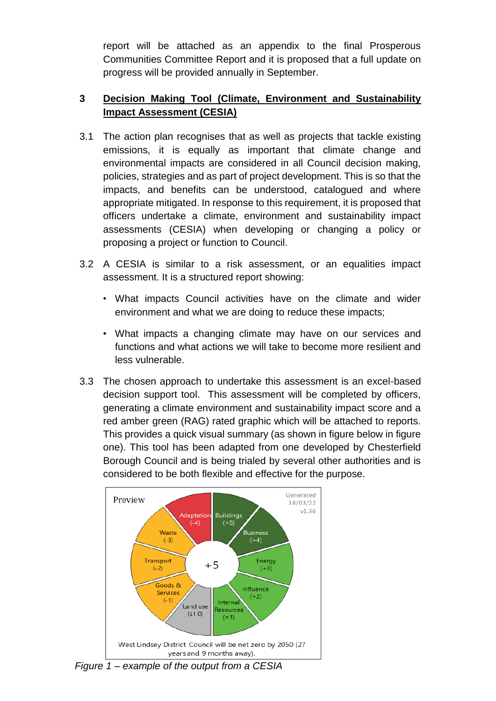report will be attached as an appendix to the final Prosperous Communities Committee Report and it is proposed that a full update on progress will be provided annually in September.

## **3 Decision Making Tool (Climate, Environment and Sustainability Impact Assessment (CESIA)**

- 3.1 The action plan recognises that as well as projects that tackle existing emissions, it is equally as important that climate change and environmental impacts are considered in all Council decision making, policies, strategies and as part of project development. This is so that the impacts, and benefits can be understood, catalogued and where appropriate mitigated. In response to this requirement, it is proposed that officers undertake a climate, environment and sustainability impact assessments (CESIA) when developing or changing a policy or proposing a project or function to Council.
- 3.2 A CESIA is similar to a risk assessment, or an equalities impact assessment. It is a structured report showing:
	- What impacts Council activities have on the climate and wider environment and what we are doing to reduce these impacts;
	- What impacts a changing climate may have on our services and functions and what actions we will take to become more resilient and less vulnerable.
- 3.3 The chosen approach to undertake this assessment is an excel-based decision support tool. This assessment will be completed by officers, generating a climate environment and sustainability impact score and a red amber green (RAG) rated graphic which will be attached to reports. This provides a quick visual summary (as shown in figure below in figure one). This tool has been adapted from one developed by Chesterfield Borough Council and is being trialed by several other authorities and is considered to be both flexible and effective for the purpose.



*Figure 1 – example of the output from a CESIA*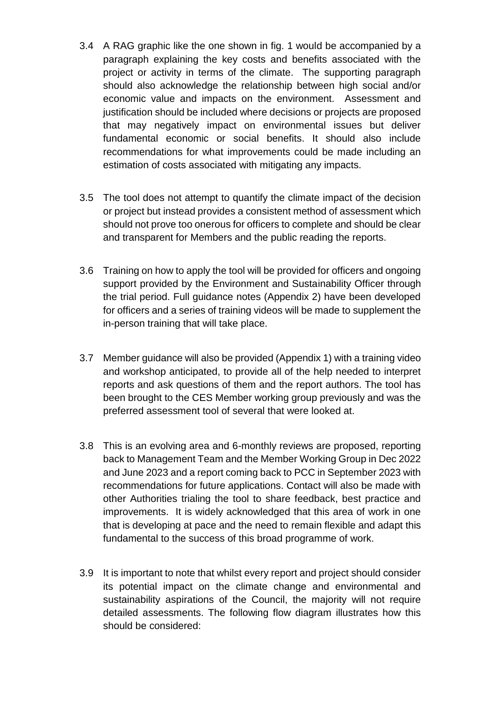- 3.4 A RAG graphic like the one shown in fig. 1 would be accompanied by a paragraph explaining the key costs and benefits associated with the project or activity in terms of the climate. The supporting paragraph should also acknowledge the relationship between high social and/or economic value and impacts on the environment. Assessment and justification should be included where decisions or projects are proposed that may negatively impact on environmental issues but deliver fundamental economic or social benefits. It should also include recommendations for what improvements could be made including an estimation of costs associated with mitigating any impacts.
- 3.5 The tool does not attempt to quantify the climate impact of the decision or project but instead provides a consistent method of assessment which should not prove too onerous for officers to complete and should be clear and transparent for Members and the public reading the reports.
- 3.6 Training on how to apply the tool will be provided for officers and ongoing support provided by the Environment and Sustainability Officer through the trial period. Full guidance notes (Appendix 2) have been developed for officers and a series of training videos will be made to supplement the in-person training that will take place.
- 3.7 Member guidance will also be provided (Appendix 1) with a training video and workshop anticipated, to provide all of the help needed to interpret reports and ask questions of them and the report authors. The tool has been brought to the CES Member working group previously and was the preferred assessment tool of several that were looked at.
- 3.8 This is an evolving area and 6-monthly reviews are proposed, reporting back to Management Team and the Member Working Group in Dec 2022 and June 2023 and a report coming back to PCC in September 2023 with recommendations for future applications. Contact will also be made with other Authorities trialing the tool to share feedback, best practice and improvements. It is widely acknowledged that this area of work in one that is developing at pace and the need to remain flexible and adapt this fundamental to the success of this broad programme of work.
- 3.9 It is important to note that whilst every report and project should consider its potential impact on the climate change and environmental and sustainability aspirations of the Council, the majority will not require detailed assessments. The following flow diagram illustrates how this should be considered: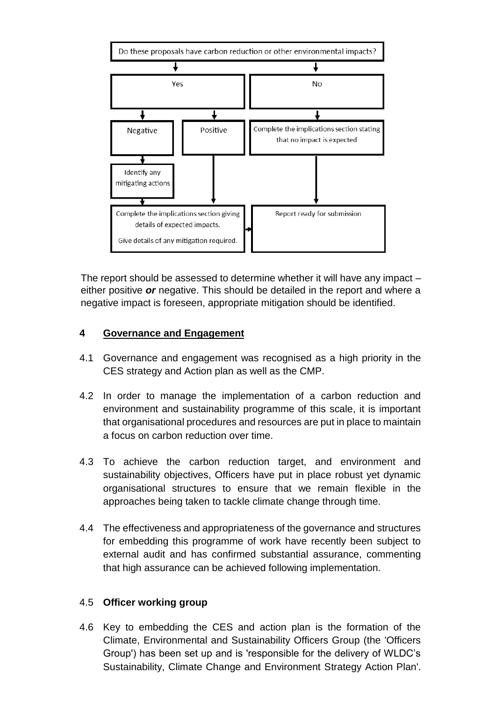

The report should be assessed to determine whether it will have any impact – either positive *or* negative. This should be detailed in the report and where a negative impact is foreseen, appropriate mitigation should be identified.

## **4 Governance and Engagement**

- 4.1 Governance and engagement was recognised as a high priority in the CES strategy and Action plan as well as the CMP.
- 4.2 In order to manage the implementation of a carbon reduction and environment and sustainability programme of this scale, it is important that organisational procedures and resources are put in place to maintain a focus on carbon reduction over time.
- 4.3 To achieve the carbon reduction target, and environment and sustainability objectives, Officers have put in place robust yet dynamic organisational structures to ensure that we remain flexible in the approaches being taken to tackle climate change through time.
- 4.4 The effectiveness and appropriateness of the governance and structures for embedding this programme of work have recently been subject to external audit and has confirmed substantial assurance, commenting that high assurance can be achieved following implementation.

## 4.5 **Officer working group**

4.6 Key to embedding the CES and action plan is the formation of the Climate, Environmental and Sustainability Officers Group (the 'Officers Group') has been set up and is 'responsible for the delivery of WLDC's Sustainability, Climate Change and Environment Strategy Action Plan'.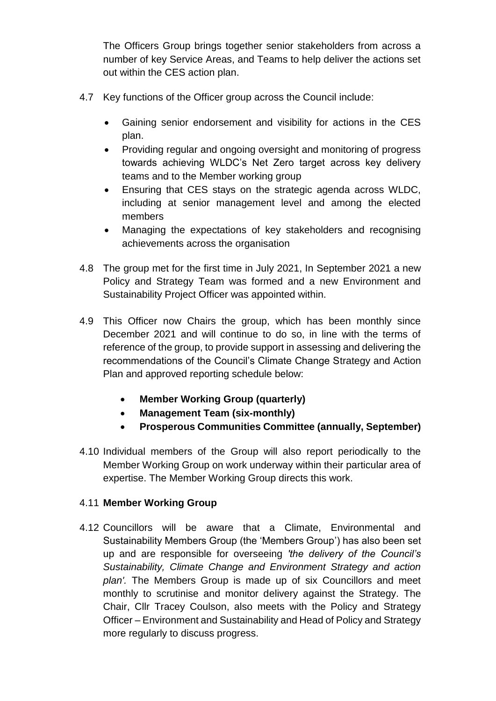The Officers Group brings together senior stakeholders from across a number of key Service Areas, and Teams to help deliver the actions set out within the CES action plan.

- 4.7 Key functions of the Officer group across the Council include:
	- Gaining senior endorsement and visibility for actions in the CES plan.
	- Providing regular and ongoing oversight and monitoring of progress towards achieving WLDC's Net Zero target across key delivery teams and to the Member working group
	- Ensuring that CES stays on the strategic agenda across WLDC, including at senior management level and among the elected members
	- Managing the expectations of key stakeholders and recognising achievements across the organisation
- 4.8 The group met for the first time in July 2021, In September 2021 a new Policy and Strategy Team was formed and a new Environment and Sustainability Project Officer was appointed within.
- 4.9 This Officer now Chairs the group, which has been monthly since December 2021 and will continue to do so, in line with the terms of reference of the group, to provide support in assessing and delivering the recommendations of the Council's Climate Change Strategy and Action Plan and approved reporting schedule below:
	- **Member Working Group (quarterly)**
	- **Management Team (six-monthly)**
	- **Prosperous Communities Committee (annually, September)**
- 4.10 Individual members of the Group will also report periodically to the Member Working Group on work underway within their particular area of expertise. The Member Working Group directs this work.

## 4.11 **Member Working Group**

4.12 Councillors will be aware that a Climate, Environmental and Sustainability Members Group (the 'Members Group') has also been set up and are responsible for overseeing *'the delivery of the Council's Sustainability, Climate Change and Environment Strategy and action plan'.* The Members Group is made up of six Councillors and meet monthly to scrutinise and monitor delivery against the Strategy. The Chair, Cllr Tracey Coulson, also meets with the Policy and Strategy Officer – Environment and Sustainability and Head of Policy and Strategy more regularly to discuss progress.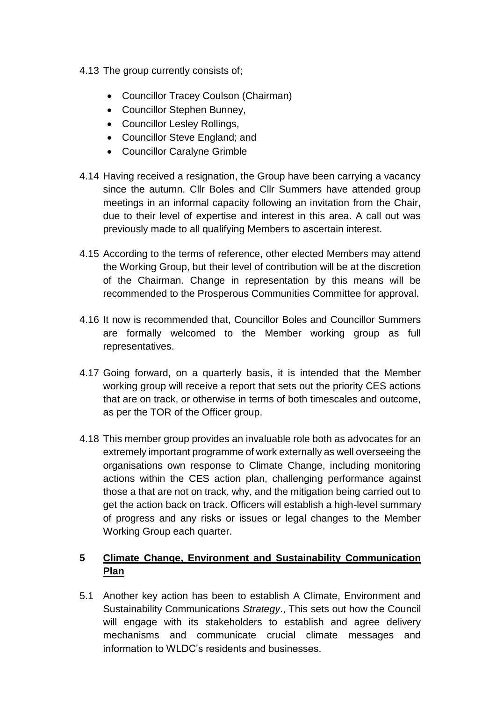- 4.13 The group currently consists of;
	- Councillor Tracey Coulson (Chairman)
	- Councillor Stephen Bunney,
	- Councillor Lesley Rollings,
	- Councillor Steve England; and
	- Councillor Caralyne Grimble
- 4.14 Having received a resignation, the Group have been carrying a vacancy since the autumn. Cllr Boles and Cllr Summers have attended group meetings in an informal capacity following an invitation from the Chair, due to their level of expertise and interest in this area. A call out was previously made to all qualifying Members to ascertain interest.
- 4.15 According to the terms of reference, other elected Members may attend the Working Group, but their level of contribution will be at the discretion of the Chairman. Change in representation by this means will be recommended to the Prosperous Communities Committee for approval.
- 4.16 It now is recommended that, Councillor Boles and Councillor Summers are formally welcomed to the Member working group as full representatives.
- 4.17 Going forward, on a quarterly basis, it is intended that the Member working group will receive a report that sets out the priority CES actions that are on track, or otherwise in terms of both timescales and outcome, as per the TOR of the Officer group.
- 4.18 This member group provides an invaluable role both as advocates for an extremely important programme of work externally as well overseeing the organisations own response to Climate Change, including monitoring actions within the CES action plan, challenging performance against those a that are not on track, why, and the mitigation being carried out to get the action back on track. Officers will establish a high-level summary of progress and any risks or issues or legal changes to the Member Working Group each quarter.

# **5 Climate Change, Environment and Sustainability Communication Plan**

5.1 Another key action has been to establish A Climate, Environment and Sustainability Communications *Strategy*., This sets out how the Council will engage with its stakeholders to establish and agree delivery mechanisms and communicate crucial climate messages and information to WLDC's residents and businesses.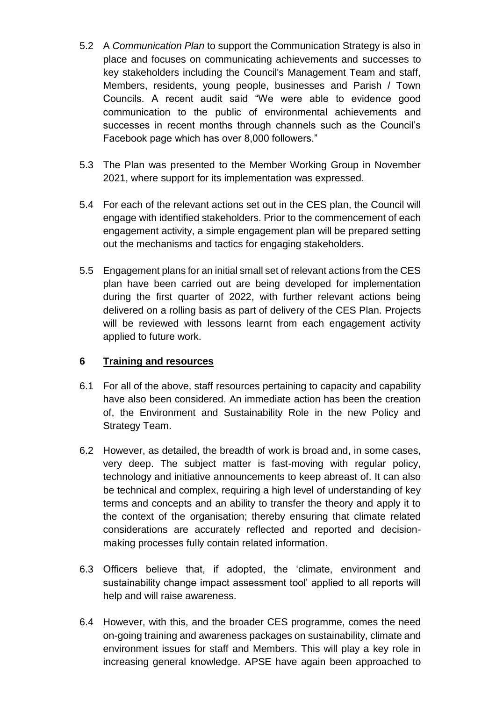- 5.2 A *Communication Plan* to support the Communication Strategy is also in place and focuses on communicating achievements and successes to key stakeholders including the Council's Management Team and staff, Members, residents, young people, businesses and Parish / Town Councils. A recent audit said "We were able to evidence good communication to the public of environmental achievements and successes in recent months through channels such as the Council's Facebook page which has over 8,000 followers."
- 5.3 The Plan was presented to the Member Working Group in November 2021, where support for its implementation was expressed.
- 5.4 For each of the relevant actions set out in the CES plan, the Council will engage with identified stakeholders. Prior to the commencement of each engagement activity, a simple engagement plan will be prepared setting out the mechanisms and tactics for engaging stakeholders.
- 5.5 Engagement plans for an initial small set of relevant actions from the CES plan have been carried out are being developed for implementation during the first quarter of 2022, with further relevant actions being delivered on a rolling basis as part of delivery of the CES Plan. Projects will be reviewed with lessons learnt from each engagement activity applied to future work.

## **6 Training and resources**

- 6.1 For all of the above, staff resources pertaining to capacity and capability have also been considered. An immediate action has been the creation of, the Environment and Sustainability Role in the new Policy and Strategy Team.
- 6.2 However, as detailed, the breadth of work is broad and, in some cases, very deep. The subject matter is fast-moving with regular policy, technology and initiative announcements to keep abreast of. It can also be technical and complex, requiring a high level of understanding of key terms and concepts and an ability to transfer the theory and apply it to the context of the organisation; thereby ensuring that climate related considerations are accurately reflected and reported and decisionmaking processes fully contain related information.
- 6.3 Officers believe that, if adopted, the 'climate, environment and sustainability change impact assessment tool' applied to all reports will help and will raise awareness.
- 6.4 However, with this, and the broader CES programme, comes the need on-going training and awareness packages on sustainability, climate and environment issues for staff and Members. This will play a key role in increasing general knowledge. APSE have again been approached to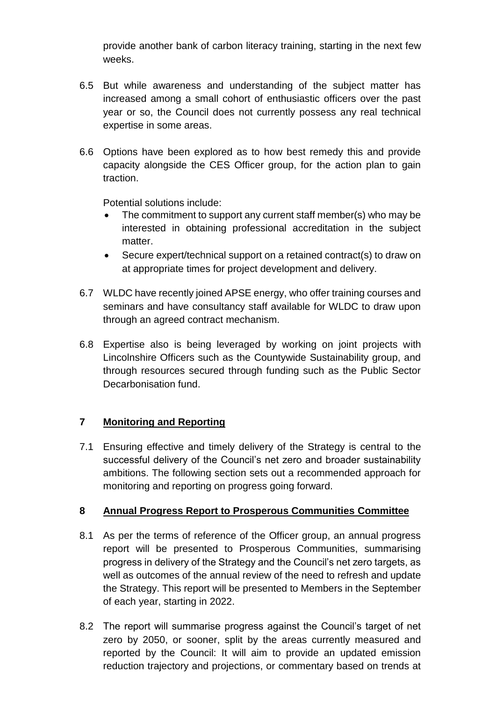provide another bank of carbon literacy training, starting in the next few weeks.

- 6.5 But while awareness and understanding of the subject matter has increased among a small cohort of enthusiastic officers over the past year or so, the Council does not currently possess any real technical expertise in some areas.
- 6.6 Options have been explored as to how best remedy this and provide capacity alongside the CES Officer group, for the action plan to gain traction.

Potential solutions include:

- The commitment to support any current staff member(s) who may be interested in obtaining professional accreditation in the subject matter.
- Secure expert/technical support on a retained contract(s) to draw on at appropriate times for project development and delivery.
- 6.7 WLDC have recently joined APSE energy, who offer training courses and seminars and have consultancy staff available for WLDC to draw upon through an agreed contract mechanism.
- 6.8 Expertise also is being leveraged by working on joint projects with Lincolnshire Officers such as the Countywide Sustainability group, and through resources secured through funding such as the Public Sector Decarbonisation fund.

## **7 Monitoring and Reporting**

7.1 Ensuring effective and timely delivery of the Strategy is central to the successful delivery of the Council's net zero and broader sustainability ambitions. The following section sets out a recommended approach for monitoring and reporting on progress going forward.

## **8 Annual Progress Report to Prosperous Communities Committee**

- 8.1 As per the terms of reference of the Officer group, an annual progress report will be presented to Prosperous Communities, summarising progress in delivery of the Strategy and the Council's net zero targets, as well as outcomes of the annual review of the need to refresh and update the Strategy. This report will be presented to Members in the September of each year, starting in 2022.
- 8.2 The report will summarise progress against the Council's target of net zero by 2050, or sooner, split by the areas currently measured and reported by the Council: It will aim to provide an updated emission reduction trajectory and projections, or commentary based on trends at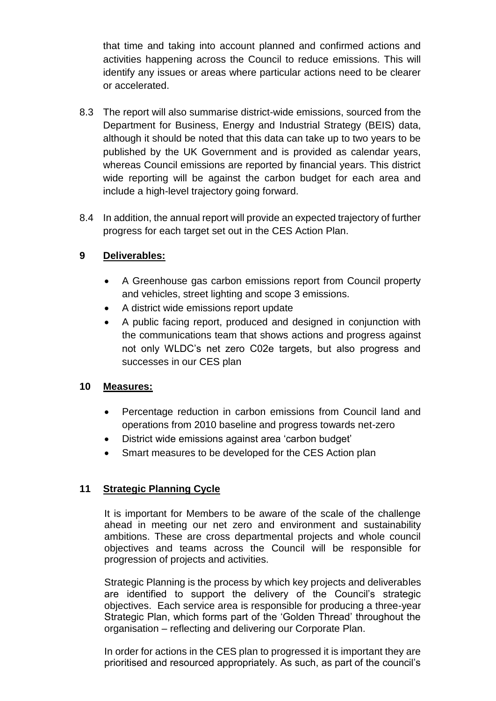that time and taking into account planned and confirmed actions and activities happening across the Council to reduce emissions. This will identify any issues or areas where particular actions need to be clearer or accelerated.

- 8.3 The report will also summarise district-wide emissions, sourced from the Department for Business, Energy and Industrial Strategy (BEIS) data, although it should be noted that this data can take up to two years to be published by the UK Government and is provided as calendar years, whereas Council emissions are reported by financial years. This district wide reporting will be against the carbon budget for each area and include a high-level trajectory going forward.
- 8.4 In addition, the annual report will provide an expected trajectory of further progress for each target set out in the CES Action Plan.

## **9 Deliverables:**

- A Greenhouse gas carbon emissions report from Council property and vehicles, street lighting and scope 3 emissions.
- A district wide emissions report update
- A public facing report, produced and designed in conjunction with the communications team that shows actions and progress against not only WLDC's net zero C02e targets, but also progress and successes in our CES plan

## **10 Measures:**

- Percentage reduction in carbon emissions from Council land and operations from 2010 baseline and progress towards net-zero
- District wide emissions against area 'carbon budget'
- Smart measures to be developed for the CES Action plan

## **11 Strategic Planning Cycle**

It is important for Members to be aware of the scale of the challenge ahead in meeting our net zero and environment and sustainability ambitions. These are cross departmental projects and whole council objectives and teams across the Council will be responsible for progression of projects and activities.

Strategic Planning is the process by which key projects and deliverables are identified to support the delivery of the Council's strategic objectives. Each service area is responsible for producing a three-year Strategic Plan, which forms part of the 'Golden Thread' throughout the organisation – reflecting and delivering our Corporate Plan.

In order for actions in the CES plan to progressed it is important they are prioritised and resourced appropriately. As such, as part of the council's